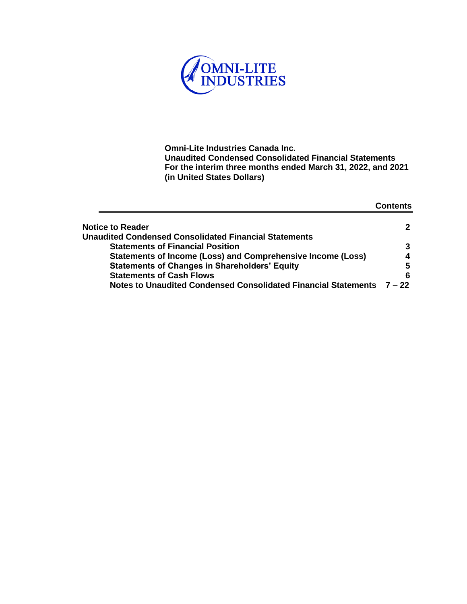

|                                                                       | Contents |
|-----------------------------------------------------------------------|----------|
| <b>Notice to Reader</b>                                               | 2        |
| <b>Unaudited Condensed Consolidated Financial Statements</b>          |          |
| <b>Statements of Financial Position</b>                               | 3        |
| Statements of Income (Loss) and Comprehensive Income (Loss)           | 4        |
| <b>Statements of Changes in Shareholders' Equity</b>                  | 5        |
| <b>Statements of Cash Flows</b>                                       | 6        |
| <b>Notes to Unaudited Condensed Consolidated Financial Statements</b> | $7 - 22$ |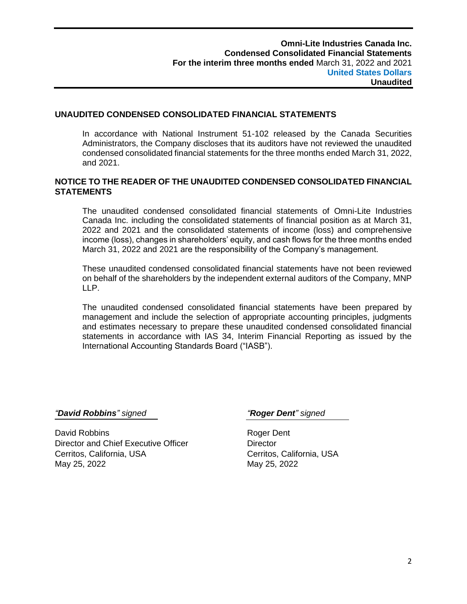# **UNAUDITED CONDENSED CONSOLIDATED FINANCIAL STATEMENTS**

In accordance with National Instrument 51-102 released by the Canada Securities Administrators, the Company discloses that its auditors have not reviewed the unaudited condensed consolidated financial statements for the three months ended March 31, 2022, and 2021.

# **NOTICE TO THE READER OF THE UNAUDITED CONDENSED CONSOLIDATED FINANCIAL STATEMENTS**

The unaudited condensed consolidated financial statements of Omni-Lite Industries Canada Inc. including the consolidated statements of financial position as at March 31, 2022 and 2021 and the consolidated statements of income (loss) and comprehensive income (loss), changes in shareholders' equity, and cash flows for the three months ended March 31, 2022 and 2021 are the responsibility of the Company's management.

These unaudited condensed consolidated financial statements have not been reviewed on behalf of the shareholders by the independent external auditors of the Company, MNP LLP.

The unaudited condensed consolidated financial statements have been prepared by management and include the selection of appropriate accounting principles, judgments and estimates necessary to prepare these unaudited condensed consolidated financial statements in accordance with IAS 34, Interim Financial Reporting as issued by the International Accounting Standards Board ("IASB").

*"David Robbins" signed "Roger Dent" signed*

David Robbins **Roger Dent** Director and Chief Executive Officer **Director** Cerritos, California, USA Cerritos, California, USA May 25, 2022 May 25, 2022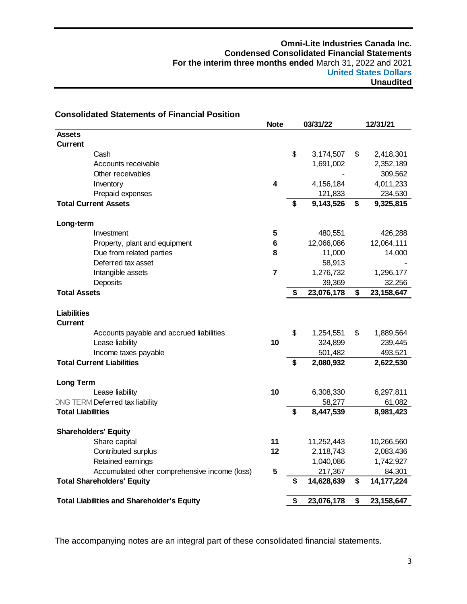| <b>Consolidated Statements of Financial Position</b> |                 |    |            |                    |
|------------------------------------------------------|-----------------|----|------------|--------------------|
|                                                      | <b>Note</b>     |    | 03/31/22   | 12/31/21           |
| <b>Assets</b>                                        |                 |    |            |                    |
| <b>Current</b>                                       |                 |    |            |                    |
| Cash                                                 |                 | \$ | 3,174,507  | \$<br>2,418,301    |
| Accounts receivable                                  |                 |    | 1,691,002  | 2,352,189          |
| Other receivables                                    |                 |    |            | 309,562            |
| Inventory                                            | 4               |    | 4,156,184  | 4,011,233          |
| Prepaid expenses                                     |                 |    | 121,833    | 234,530            |
| <b>Total Current Assets</b>                          |                 |    | 9,143,526  | \$<br>9,325,815    |
| Long-term                                            |                 |    |            |                    |
| Investment                                           | 5               |    | 480,551    | 426,288            |
| Property, plant and equipment                        | $6\phantom{1}6$ |    | 12,066,086 | 12,064,111         |
| Due from related parties                             | 8               |    | 11,000     | 14,000             |
| Deferred tax asset                                   |                 |    | 58,913     |                    |
| Intangible assets                                    | $\overline{7}$  |    | 1,276,732  | 1,296,177          |
| Deposits                                             |                 |    | 39,369     | 32,256             |
| <b>Total Assets</b>                                  |                 | \$ | 23,076,178 | \$<br>23, 158, 647 |
| <b>Liabilities</b><br><b>Current</b>                 |                 |    |            |                    |
| Accounts payable and accrued liabilities             |                 | \$ | 1,254,551  | \$<br>1,889,564    |
| Lease liability                                      | 10              |    | 324,899    | 239,445            |
| Income taxes payable                                 |                 |    | 501,482    | 493,521            |
| <b>Total Current Liabilities</b>                     |                 | S  | 2,080,932  | 2,622,530          |
| <b>Long Term</b>                                     |                 |    |            |                    |
| Lease liability                                      | 10              |    | 6,308,330  | 6,297,811          |
| ONG TERM Deferred tax liability                      |                 |    | 58,277     | 61,082             |
| <b>Total Liabilities</b>                             |                 | S  | 8,447,539  | 8,981,423          |
| <b>Shareholders' Equity</b>                          |                 |    |            |                    |
| Share capital                                        | 11              |    | 11,252,443 | 10,266,560         |
| Contributed surplus                                  | 12              |    | 2,118,743  | 2,083,436          |
| Retained earnings                                    |                 |    | 1,040,086  | 1,742,927          |
| Accumulated other comprehensive income (loss)        | 5               |    | 217,367    | 84,301             |
| <b>Total Shareholders' Equity</b>                    |                 | \$ | 14,628,639 | \$<br>14, 177, 224 |
| <b>Total Liabilities and Shareholder's Equity</b>    |                 | \$ | 23,076,178 | \$<br>23,158,647   |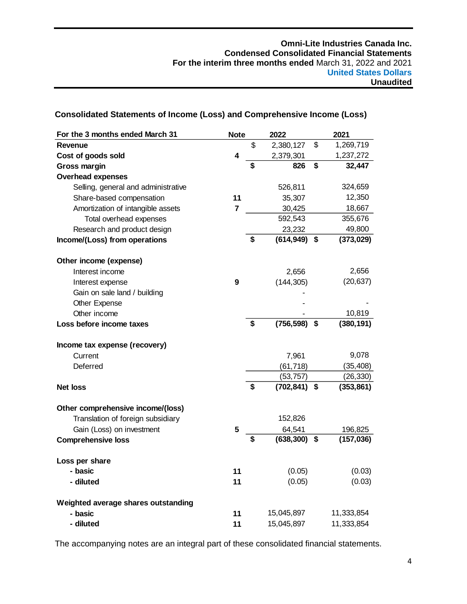| For the 3 months ended March 31     | <b>Note</b> |    | 2022            | 2021             |  |
|-------------------------------------|-------------|----|-----------------|------------------|--|
| <b>Revenue</b>                      |             | \$ | 2,380,127       | \$<br>1,269,719  |  |
| Cost of goods sold                  | 4           |    | 2,379,301       | 1,237,272        |  |
| <b>Gross margin</b>                 |             | \$ | 826             | \$<br>32,447     |  |
| <b>Overhead expenses</b>            |             |    |                 |                  |  |
| Selling, general and administrative |             |    | 526,811         | 324,659          |  |
| Share-based compensation            | 11          |    | 35,307          | 12,350           |  |
| Amortization of intangible assets   | 7           |    | 30,425          | 18,667           |  |
| Total overhead expenses             |             |    | 592,543         | 355,676          |  |
| Research and product design         |             |    | 23,232          | 49,800           |  |
| Income/(Loss) from operations       |             | \$ | (614, 949)      | \$<br>(373, 029) |  |
| Other income (expense)              |             |    |                 |                  |  |
| Interest income                     |             |    | 2,656           | 2,656            |  |
| Interest expense                    | 9           |    | (144, 305)      | (20, 637)        |  |
| Gain on sale land / building        |             |    |                 |                  |  |
| <b>Other Expense</b>                |             |    |                 |                  |  |
| Other income                        |             |    |                 | 10,819           |  |
| Loss before income taxes            |             | \$ | (756, 598)      | \$<br>(380, 191) |  |
| Income tax expense (recovery)       |             |    |                 |                  |  |
| Current                             |             |    | 7,961           | 9,078            |  |
| Deferred                            |             |    | (61, 718)       | (35, 408)        |  |
|                                     |             |    | (53, 757)       | (26, 330)        |  |
| <b>Net loss</b>                     |             | \$ | (702, 841)      | \$<br>(353, 861) |  |
| Other comprehensive income/(loss)   |             |    |                 |                  |  |
| Translation of foreign subsidiary   |             |    | 152,826         |                  |  |
| Gain (Loss) on investment           | 5           |    | 64,541          | 196,825          |  |
| <b>Comprehensive loss</b>           |             | \$ | $(638, 300)$ \$ | (157, 036)       |  |
| Loss per share                      |             |    |                 |                  |  |
| - basic                             | 11          |    | (0.05)          | (0.03)           |  |
| - diluted                           | 11          |    | (0.05)          | (0.03)           |  |
| Weighted average shares outstanding |             |    |                 |                  |  |
| - basic                             | 11          |    | 15,045,897      | 11,333,854       |  |
| - diluted                           | 11          |    | 15,045,897      | 11,333,854       |  |

# **Consolidated Statements of Income (Loss) and Comprehensive Income (Loss)**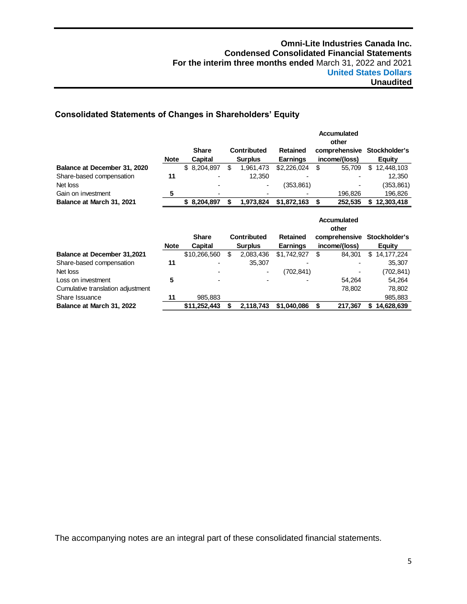# **Consolidated Statements of Changes in Shareholders' Equity**

|                                    |             |              |    |                    |                             | <b>Accumulated</b><br>other |    |               |
|------------------------------------|-------------|--------------|----|--------------------|-----------------------------|-----------------------------|----|---------------|
|                                    |             | <b>Share</b> |    | <b>Contributed</b> | <b>Retained</b>             | comprehensive               |    | Stockholder's |
|                                    | <b>Note</b> | Capital      |    | <b>Surplus</b>     | <b>Earnings</b>             | income/(loss)               |    | Equity        |
| Balance at December 31, 2020       |             | \$ 8,204,897 | \$ | 1,961,473          | \$2,226,024                 | \$<br>55,709                | \$ | 12,448,103    |
| Share-based compensation           | 11          |              |    | 12,350             |                             |                             |    | 12,350        |
| Net loss                           |             |              |    |                    | (353,861)                   |                             |    | (353,861)     |
| Gain on investment                 | 5           |              |    |                    |                             | 196,826                     |    | 196,826       |
| Balance at March 31, 2021          |             | \$8,204,897  | \$ | 1,973,824          | \$1,872,163                 | \$<br>252,535               | S. | 12,303,418    |
|                                    |             |              |    |                    | <b>Accumulated</b><br>other |                             |    |               |
|                                    |             | <b>Share</b> |    | <b>Contributed</b> | <b>Retained</b>             | comprehensive               |    | Stockholder's |
|                                    | <b>Note</b> | Capital      |    | <b>Surplus</b>     | <b>Earnings</b>             | income/(loss)               |    | Equity        |
| <b>Balance at December 31,2021</b> |             | \$10,266,560 | \$ | 2,083,436          | \$1,742,927                 | \$<br>84,301                | \$ | 14, 177, 224  |
| Share-based compensation           | 11          |              |    | 35,307             |                             |                             |    | 35,307        |
| Net loss                           |             |              |    | ٠                  | (702, 841)                  |                             |    | (702,841)     |
| Loss on investment                 | 5           |              |    |                    |                             | 54,264                      |    | 54,264        |
| Cumulative translation adjustment  |             |              |    |                    |                             | 78,802                      |    | 78,802        |
| Share Issuance                     | 11          | 985,883      |    |                    |                             |                             |    | 985,883       |
| Balance at March 31, 2022          |             | \$11,252,443 | \$ | 2,118,743          | \$1,040,086                 | \$<br>217,367               | S  | 14,628,639    |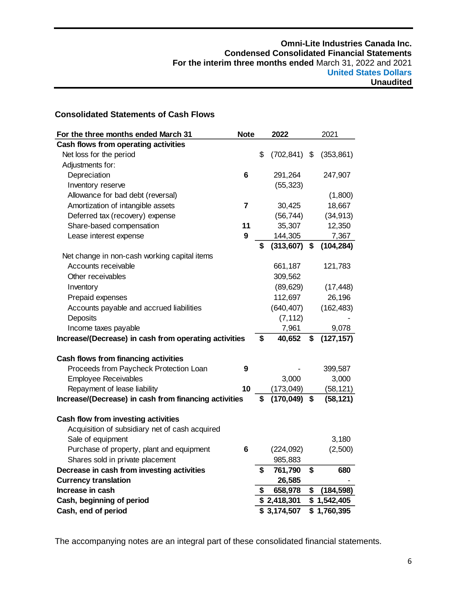# **Consolidated Statements of Cash Flows**

| For the three months ended March 31                   | <b>Note</b> | 2022             |    | 2021        |
|-------------------------------------------------------|-------------|------------------|----|-------------|
| Cash flows from operating activities                  |             |                  |    |             |
| Net loss for the period                               |             | \$<br>(702, 841) | \$ | (353, 861)  |
| Adjustments for:                                      |             |                  |    |             |
| Depreciation                                          | 6           | 291,264          |    | 247,907     |
| Inventory reserve                                     |             | (55, 323)        |    |             |
| Allowance for bad debt (reversal)                     |             |                  |    | (1,800)     |
| Amortization of intangible assets                     | 7           | 30,425           |    | 18,667      |
| Deferred tax (recovery) expense                       |             | (56, 744)        |    | (34, 913)   |
| Share-based compensation                              | 11          | 35,307           |    | 12,350      |
| Lease interest expense                                | 9           | 144,305          |    | 7,367       |
|                                                       |             | \$<br>(313, 607) | \$ | (104, 284)  |
| Net change in non-cash working capital items          |             |                  |    |             |
| Accounts receivable                                   |             | 661,187          |    | 121,783     |
| Other receivables                                     |             | 309,562          |    |             |
| Inventory                                             |             | (89, 629)        |    | (17, 448)   |
| Prepaid expenses                                      |             | 112,697          |    | 26,196      |
| Accounts payable and accrued liabilities              |             | (640, 407)       |    | (162, 483)  |
| Deposits                                              |             | (7, 112)         |    |             |
| Income taxes payable                                  |             | 7,961            |    | 9,078       |
| Increase/(Decrease) in cash from operating activities |             | \$<br>40,652     | \$ | (127, 157)  |
|                                                       |             |                  |    |             |
| Cash flows from financing activities                  |             |                  |    |             |
| Proceeds from Paycheck Protection Loan                | 9           |                  |    | 399,587     |
| <b>Employee Receivables</b>                           |             | 3,000            |    | 3,000       |
| Repayment of lease liability                          | 10          | (173, 049)       |    | (58, 121)   |
| Increase/(Decrease) in cash from financing activities |             | \$<br>(170, 049) | \$ | (58, 121)   |
| Cash flow from investing activities                   |             |                  |    |             |
| Acquisition of subsidiary net of cash acquired        |             |                  |    |             |
| Sale of equipment                                     |             |                  |    | 3,180       |
| Purchase of property, plant and equipment             | 6           | (224, 092)       |    | (2,500)     |
| Shares sold in private placement                      |             | 985,883          |    |             |
| Decrease in cash from investing activities            |             | \$<br>761,790    | \$ | 680         |
| <b>Currency translation</b>                           |             | 26,585           |    |             |
| Increase in cash                                      |             | \$<br>658,978    | S  | (184, 598)  |
| Cash, beginning of period                             |             | \$2,418,301      |    | \$1,542,405 |
| Cash, end of period                                   |             | \$3,174,507      |    | \$1,760,395 |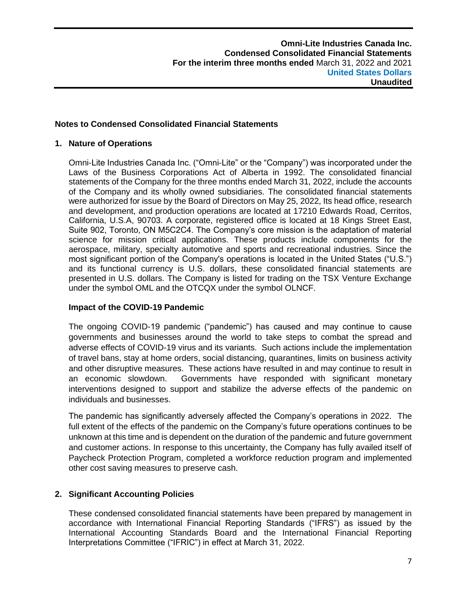# **Notes to Condensed Consolidated Financial Statements**

#### **1. Nature of Operations**

Omni-Lite Industries Canada Inc. ("Omni-Lite" or the "Company") was incorporated under the Laws of the Business Corporations Act of Alberta in 1992. The consolidated financial statements of the Company for the three months ended March 31, 2022, include the accounts of the Company and its wholly owned subsidiaries. The consolidated financial statements were authorized for issue by the Board of Directors on May 25, 2022, Its head office, research and development, and production operations are located at 17210 Edwards Road, Cerritos, California, U.S.A, 90703. A corporate, registered office is located at 18 Kings Street East, Suite 902, Toronto, ON M5C2C4. The Company's core mission is the adaptation of material science for mission critical applications. These products include components for the aerospace, military, specialty automotive and sports and recreational industries. Since the most significant portion of the Company's operations is located in the United States ("U.S.") and its functional currency is U.S. dollars, these consolidated financial statements are presented in U.S. dollars. The Company is listed for trading on the TSX Venture Exchange under the symbol OML and the OTCQX under the symbol OLNCF.

# **Impact of the COVID-19 Pandemic**

The ongoing COVID-19 pandemic ("pandemic") has caused and may continue to cause governments and businesses around the world to take steps to combat the spread and adverse effects of COVID-19 virus and its variants. Such actions include the implementation of travel bans, stay at home orders, social distancing, quarantines, limits on business activity and other disruptive measures. These actions have resulted in and may continue to result in an economic slowdown. Governments have responded with significant monetary interventions designed to support and stabilize the adverse effects of the pandemic on individuals and businesses.

The pandemic has significantly adversely affected the Company's operations in 2022. The full extent of the effects of the pandemic on the Company's future operations continues to be unknown at this time and is dependent on the duration of the pandemic and future government and customer actions. In response to this uncertainty, the Company has fully availed itself of Paycheck Protection Program, completed a workforce reduction program and implemented other cost saving measures to preserve cash.

# **2. Significant Accounting Policies**

These condensed consolidated financial statements have been prepared by management in accordance with International Financial Reporting Standards ("IFRS") as issued by the International Accounting Standards Board and the International Financial Reporting Interpretations Committee ("IFRIC") in effect at March 31, 2022.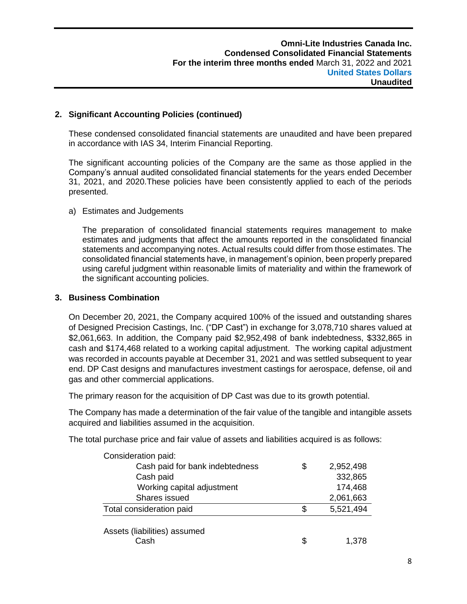# **2. Significant Accounting Policies (continued)**

These condensed consolidated financial statements are unaudited and have been prepared in accordance with IAS 34, Interim Financial Reporting.

The significant accounting policies of the Company are the same as those applied in the Company's annual audited consolidated financial statements for the years ended December 31, 2021, and 2020.These policies have been consistently applied to each of the periods presented.

# a) Estimates and Judgements

The preparation of consolidated financial statements requires management to make estimates and judgments that affect the amounts reported in the consolidated financial statements and accompanying notes. Actual results could differ from those estimates. The consolidated financial statements have, in management's opinion, been properly prepared using careful judgment within reasonable limits of materiality and within the framework of the significant accounting policies.

# **3. Business Combination**

On December 20, 2021, the Company acquired 100% of the issued and outstanding shares of Designed Precision Castings, Inc. ("DP Cast") in exchange for 3,078,710 shares valued at \$2,061,663. In addition, the Company paid \$2,952,498 of bank indebtedness, \$332,865 in cash and \$174,468 related to a working capital adjustment. The working capital adjustment was recorded in accounts payable at December 31, 2021 and was settled subsequent to year end. DP Cast designs and manufactures investment castings for aerospace, defense, oil and gas and other commercial applications.

The primary reason for the acquisition of DP Cast was due to its growth potential.

The Company has made a determination of the fair value of the tangible and intangible assets acquired and liabilities assumed in the acquisition.

The total purchase price and fair value of assets and liabilities acquired is as follows:

| Consideration paid:                  |     |           |
|--------------------------------------|-----|-----------|
| Cash paid for bank indebtedness      | S   | 2,952,498 |
| Cash paid                            |     | 332,865   |
| Working capital adjustment           |     | 174,468   |
| Shares issued                        |     | 2,061,663 |
| Total consideration paid             | \$. | 5,521,494 |
| Assets (liabilities) assumed<br>Cash |     | 1.378     |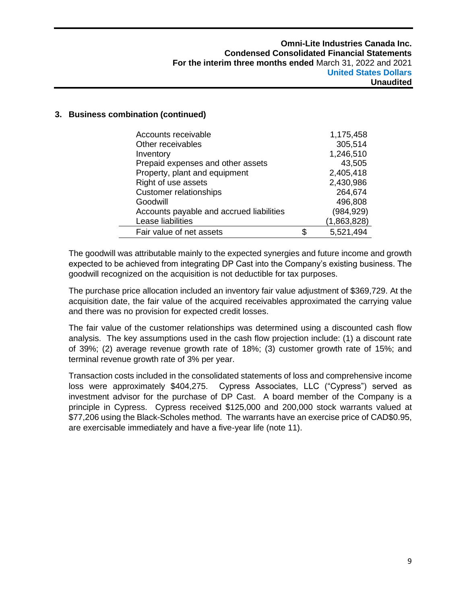#### **3. Business combination (continued)**

| Accounts receivable                      | 1,175,458   |
|------------------------------------------|-------------|
| Other receivables                        | 305,514     |
| Inventory                                | 1,246,510   |
| Prepaid expenses and other assets        | 43,505      |
| Property, plant and equipment            | 2,405,418   |
| Right of use assets                      | 2,430,986   |
| <b>Customer relationships</b>            | 264,674     |
| Goodwill                                 | 496,808     |
| Accounts payable and accrued liabilities | (984, 929)  |
| Lease liabilities                        | (1,863,828) |
| Fair value of net assets                 | 5,521,494   |

The goodwill was attributable mainly to the expected synergies and future income and growth expected to be achieved from integrating DP Cast into the Company's existing business. The goodwill recognized on the acquisition is not deductible for tax purposes.

The purchase price allocation included an inventory fair value adjustment of \$369,729. At the acquisition date, the fair value of the acquired receivables approximated the carrying value and there was no provision for expected credit losses.

The fair value of the customer relationships was determined using a discounted cash flow analysis. The key assumptions used in the cash flow projection include: (1) a discount rate of 39%; (2) average revenue growth rate of 18%; (3) customer growth rate of 15%; and terminal revenue growth rate of 3% per year.

Transaction costs included in the consolidated statements of loss and comprehensive income loss were approximately \$404,275. Cypress Associates, LLC ("Cypress") served as investment advisor for the purchase of DP Cast. A board member of the Company is a principle in Cypress. Cypress received \$125,000 and 200,000 stock warrants valued at \$77,206 using the Black-Scholes method. The warrants have an exercise price of CAD\$0.95, are exercisable immediately and have a five-year life (note 11).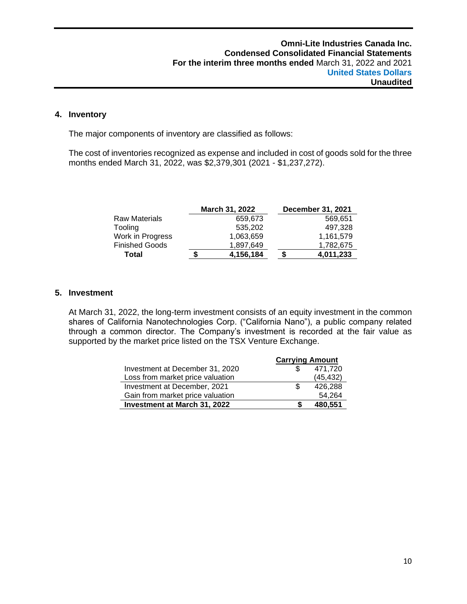## **4. Inventory**

The major components of inventory are classified as follows:

The cost of inventories recognized as expense and included in cost of goods sold for the three months ended March 31, 2022, was \$2,379,301 (2021 - \$1,237,272).

|                       |   | March 31, 2022 |   | December 31, 2021 |
|-----------------------|---|----------------|---|-------------------|
| Raw Materials         |   | 659.673        |   | 569.651           |
| Tooling               |   | 535.202        |   | 497,328           |
| Work in Progress      |   | 1,063,659      |   | 1,161,579         |
| <b>Finished Goods</b> |   | 1,897,649      |   | 1,782,675         |
| Total                 | S | 4,156,184      | S | 4,011,233         |

#### **5. Investment**

At March 31, 2022, the long-term investment consists of an equity investment in the common shares of California Nanotechnologies Corp. ("California Nano"), a public company related through a common director. The Company's investment is recorded at the fair value as supported by the market price listed on the TSX Venture Exchange.

|                                  | <b>Carrying Amount</b> |           |  |
|----------------------------------|------------------------|-----------|--|
| Investment at December 31, 2020  |                        | 471,720   |  |
| Loss from market price valuation |                        | (45, 432) |  |
| Investment at December, 2021     | S                      | 426,288   |  |
| Gain from market price valuation |                        | 54.264    |  |
| Investment at March 31, 2022     |                        | 480,551   |  |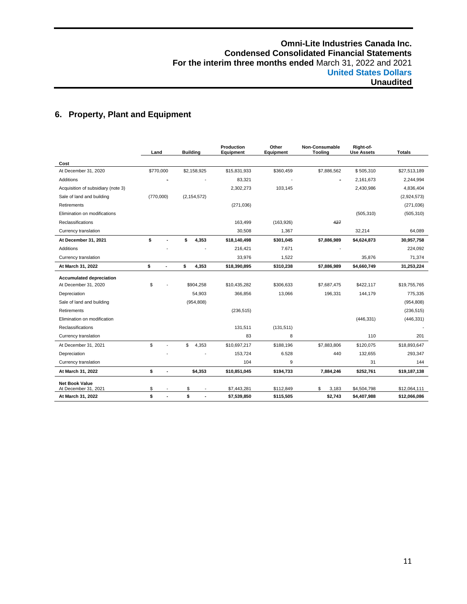# **6. Property, Plant and Equipment**

|                                    | Land        |    | <b>Building</b> | Production<br>Equipment | Other<br>Equipment | Non-Consumable<br><b>Tooling</b> |             | <b>Totals</b> |
|------------------------------------|-------------|----|-----------------|-------------------------|--------------------|----------------------------------|-------------|---------------|
| Cost                               |             |    |                 |                         |                    |                                  |             |               |
| At December 31, 2020               | \$770,000   |    | \$2,158,925     | \$15,831,933            | \$360,459          | \$7,886,562                      | \$505,310   | \$27,513,189  |
| <b>Additions</b>                   |             |    |                 | 83,321                  |                    | ÷.                               | 2,161,673   | 2,244,994     |
| Acquisition of subsidiary (note 3) |             |    |                 | 2,302,273               | 103,145            |                                  | 2,430,986   | 4,836,404     |
| Sale of land and building          | (770,000)   |    | (2, 154, 572)   |                         |                    |                                  |             | (2,924,573)   |
| Retirements                        |             |    |                 | (271, 036)              |                    |                                  |             | (271, 036)    |
| Elimination on modifications       |             |    |                 |                         |                    |                                  | (505, 310)  | (505, 310)    |
| Reclassifications                  |             |    |                 | 163,499                 | (163, 926)         | 427                              |             |               |
| Currency translation               |             |    |                 | 30.508                  | 1,367              |                                  | 32,214      | 64,089        |
| At December 31, 2021               | \$          |    | \$<br>4,353     | \$18,140,498            | \$301,045          | \$7,886,989                      | \$4,624,873 | 30,957,758    |
| <b>Additions</b>                   |             |    |                 | 216,421                 | 7.671              |                                  |             | 224,092       |
| Currency translation               |             |    |                 | 33,976                  | 1,522              |                                  | 35.876      | 71,374        |
| At March 31, 2022                  | \$          | ÷. | \$<br>4,353     | \$18,390,895            | \$310,238          | \$7,886,989                      | \$4,660,749 | 31,253,224    |
| <b>Accumulated depreciation</b>    |             |    |                 |                         |                    |                                  |             |               |
| At December 31, 2020               | \$          |    | \$904.258       | \$10,435,282            | \$306,633          | \$7,687,475                      | \$422,117   | \$19,755,765  |
| Depreciation                       |             |    | 54,903          | 366,856                 | 13,066             | 196,331                          | 144,179     | 775,335       |
| Sale of land and building          |             |    | (954, 808)      |                         |                    |                                  |             | (954, 808)    |
| Retirements                        |             |    |                 | (236, 515)              |                    |                                  |             | (236, 515)    |
| Elimination on modification        |             |    |                 |                         |                    |                                  | (446, 331)  | (446, 331)    |
| Reclassifications                  |             |    |                 | 131,511                 | (131, 511)         |                                  |             |               |
| Currency translation               |             |    |                 | 83                      | 8                  |                                  | 110         | 201           |
| At December 31, 2021               | $\mathbb S$ | ÷, | \$<br>4,353     | \$10,697,217            | \$188,196          | \$7,883,806                      | \$120,075   | \$18,893,647  |
| Depreciation                       |             |    |                 | 153.724                 | 6.528              | 440                              | 132,655     | 293,347       |
| Currency translation               |             |    |                 | 104                     | 9                  |                                  | 31          | 144           |
| At March 31, 2022                  | \$          | ٠  | \$4,353         | \$10,851,045            | \$194,733          | 7,884,246                        | \$252,761   | \$19,187,138  |
| <b>Net Book Value</b>              |             |    |                 |                         |                    |                                  |             |               |
| At December 31, 2021               | \$          |    | \$              | \$7,443,281             | \$112,849          | \$<br>3.183                      | \$4,504,798 | \$12,064,111  |
| At March 31, 2022                  | \$          | ٠  | \$<br>٠         | \$7,539,850             | \$115,505          | \$2,743                          | \$4,407,988 | \$12,066,086  |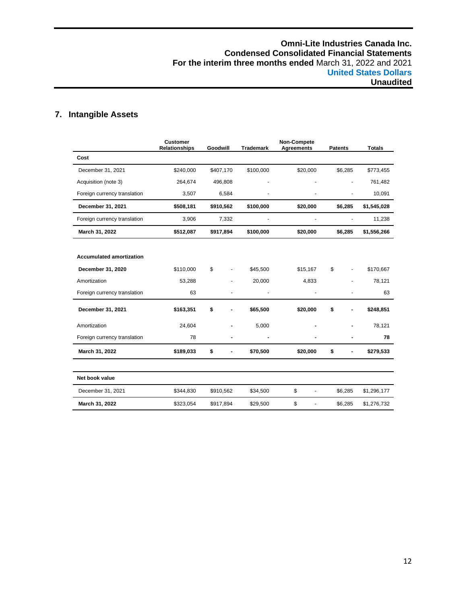# **7. Intangible Assets**

|                                 | <b>Customer</b><br><b>Relationships</b> | Goodwill  | <b>Trademark</b>          | Non-Compete<br><b>Agreements</b> | <b>Patents</b> | <b>Totals</b> |
|---------------------------------|-----------------------------------------|-----------|---------------------------|----------------------------------|----------------|---------------|
| Cost                            |                                         |           |                           |                                  |                |               |
| December 31, 2021               | \$240,000                               | \$407,170 | \$100,000                 | \$20,000                         | \$6,285        | \$773,455     |
| Acquisition (note 3)            | 264,674                                 | 496,808   |                           |                                  |                | 761,482       |
| Foreign currency translation    | 3,507                                   | 6,584     |                           |                                  |                | 10,091        |
| December 31, 2021               | \$508,181                               | \$910,562 | \$100,000                 | \$20,000                         | \$6,285        | \$1,545,028   |
| Foreign currency translation    | 3,906                                   | 7,332     |                           |                                  |                | 11,238        |
| March 31, 2022                  | \$512,087                               | \$917,894 | \$100,000                 | \$20,000                         | \$6,285        | \$1,556,266   |
|                                 |                                         |           |                           |                                  |                |               |
| <b>Accumulated amortization</b> |                                         |           |                           |                                  |                |               |
| December 31, 2020               | \$110,000                               | \$        | \$45,500<br>$\frac{1}{2}$ | \$15,167                         | \$             | \$170,667     |
| Amortization                    | 53,288                                  |           | 20,000                    | 4,833                            |                | 78,121        |
| Foreign currency translation    | 63                                      |           |                           |                                  |                | 63            |
| December 31, 2021               | \$163,351                               | \$        | \$65,500                  | \$20,000                         | \$             | \$248,851     |
| Amortization                    | 24,604                                  |           | 5,000                     |                                  |                | 78,121        |
| Foreign currency translation    | 78                                      |           | $\blacksquare$            |                                  |                | 78            |
| March 31, 2022                  | \$189,033                               | \$        | \$70,500                  | \$20,000                         | \$             | \$279,533     |
| Net book value                  |                                         |           |                           |                                  |                |               |
| December 31, 2021               | \$344,830                               | \$910,562 | \$34,500                  | \$<br>٠                          | \$6,285        | \$1,296,177   |
| March 31, 2022                  | \$323,054                               | \$917,894 | \$29,500                  | \$<br>ä,                         | \$6,285        | \$1,276,732   |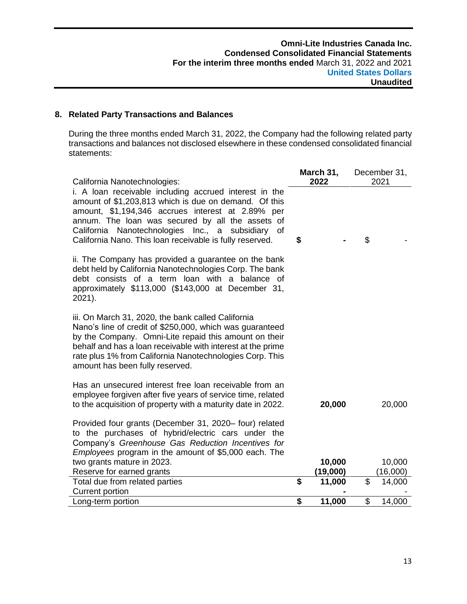# **8. Related Party Transactions and Balances**

During the three months ended March 31, 2022, the Company had the following related party transactions and balances not disclosed elsewhere in these condensed consolidated financial statements:

| California Nanotechnologies:                                                                                                                                                                                                                                                                                                                 | March 31,<br>2022        | December 31,<br>2021 |                    |  |  |  |
|----------------------------------------------------------------------------------------------------------------------------------------------------------------------------------------------------------------------------------------------------------------------------------------------------------------------------------------------|--------------------------|----------------------|--------------------|--|--|--|
| i. A loan receivable including accrued interest in the<br>amount of \$1,203,813 which is due on demand. Of this<br>amount, \$1,194,346 accrues interest at 2.89% per<br>annum. The loan was secured by all the assets of<br>California Nanotechnologies Inc., a subsidiary<br>0f<br>California Nano. This loan receivable is fully reserved. | \$                       | \$                   |                    |  |  |  |
| ii. The Company has provided a guarantee on the bank<br>debt held by California Nanotechnologies Corp. The bank<br>debt consists of a term loan with a balance of<br>approximately \$113,000 (\$143,000 at December 31,<br>2021).                                                                                                            |                          |                      |                    |  |  |  |
| iii. On March 31, 2020, the bank called California<br>Nano's line of credit of \$250,000, which was guaranteed<br>by the Company. Omni-Lite repaid this amount on their<br>behalf and has a loan receivable with interest at the prime<br>rate plus 1% from California Nanotechnologies Corp. This<br>amount has been fully reserved.        |                          |                      |                    |  |  |  |
| Has an unsecured interest free loan receivable from an<br>employee forgiven after five years of service time, related<br>to the acquisition of property with a maturity date in 2022.                                                                                                                                                        | 20,000                   |                      | 20,000             |  |  |  |
| Provided four grants (December 31, 2020- four) related<br>to the purchases of hybrid/electric cars under the<br>Company's Greenhouse Gas Reduction Incentives for<br>Employees program in the amount of \$5,000 each. The                                                                                                                    |                          |                      |                    |  |  |  |
| two grants mature in 2023.                                                                                                                                                                                                                                                                                                                   | 10,000                   |                      | 10,000             |  |  |  |
| Reserve for earned grants<br>Total due from related parties                                                                                                                                                                                                                                                                                  | \$<br>(19,000)<br>11,000 | \$                   | (16,000)<br>14,000 |  |  |  |
| <b>Current portion</b>                                                                                                                                                                                                                                                                                                                       |                          |                      |                    |  |  |  |
| Long-term portion                                                                                                                                                                                                                                                                                                                            | \$<br>11,000             | \$                   | 14,000             |  |  |  |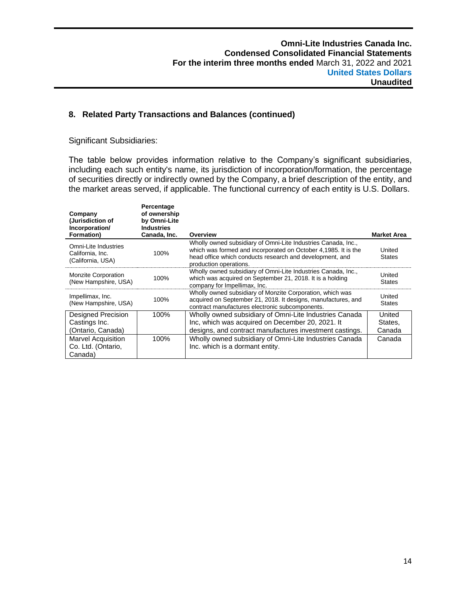# **8. Related Party Transactions and Balances (continued)**

Significant Subsidiaries:

The table below provides information relative to the Company's significant subsidiaries, including each such entity's name, its jurisdiction of incorporation/formation, the percentage of securities directly or indirectly owned by the Company, a brief description of the entity, and the market areas served, if applicable. The functional currency of each entity is U.S. Dollars.

| Company<br>(Jurisdiction of<br>Incorporation/<br>Formation)   | Percentage<br>of ownership<br>by Omni-Lite<br><b>Industries</b><br>Canada, Inc. | Overview                                                                                                                                                                                                              | <b>Market Area</b>      |
|---------------------------------------------------------------|---------------------------------------------------------------------------------|-----------------------------------------------------------------------------------------------------------------------------------------------------------------------------------------------------------------------|-------------------------|
| Omni-Lite Industries<br>California, Inc.<br>(California, USA) | 100%                                                                            | Wholly owned subsidiary of Omni-Lite Industries Canada, Inc.,<br>which was formed and incorporated on October 4,1985. It is the<br>head office which conducts research and development, and<br>production operations. | United<br><b>States</b> |
| <b>Monzite Corporation</b><br>(New Hampshire, USA)            | 100%                                                                            | Wholly owned subsidiary of Omni-Lite Industries Canada, Inc.,<br>which was acquired on September 21, 2018. It is a holding<br>company for Impellimax, Inc.                                                            | United<br>States        |
| Impellimax, Inc.<br>(New Hampshire, USA)                      | 100%                                                                            | Wholly owned subsidiary of Monzite Corporation, which was<br>acquired on September 21, 2018. It designs, manufactures, and<br>contract manufactures electronic subcomponents.                                         | United<br><b>States</b> |
| Designed Precision                                            | 100%                                                                            | Wholly owned subsidiary of Omni-Lite Industries Canada                                                                                                                                                                | United                  |
| Castings Inc.                                                 |                                                                                 | Inc, which was acquired on December 20, 2021. It                                                                                                                                                                      | States,                 |
| (Ontario, Canada)                                             |                                                                                 | designs, and contract manufactures investment castings.                                                                                                                                                               | Canada                  |
| <b>Marvel Acquisition</b>                                     | 100%                                                                            | Wholly owned subsidiary of Omni-Lite Industries Canada                                                                                                                                                                | Canada                  |
| Co. Ltd. (Ontario,                                            |                                                                                 | Inc. which is a dormant entity.                                                                                                                                                                                       |                         |
| Canada)                                                       |                                                                                 |                                                                                                                                                                                                                       |                         |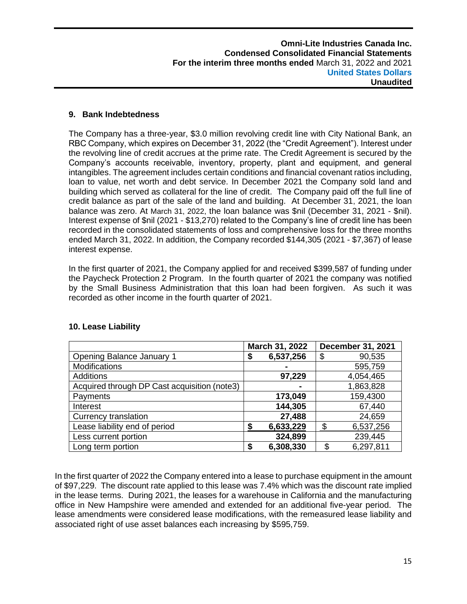# **9. Bank Indebtedness**

The Company has a three-year, \$3.0 million revolving credit line with City National Bank, an RBC Company, which expires on December 31, 2022 (the "Credit Agreement"). Interest under the revolving line of credit accrues at the prime rate. The Credit Agreement is secured by the Company's accounts receivable, inventory, property, plant and equipment, and general intangibles. The agreement includes certain conditions and financial covenant ratios including, loan to value, net worth and debt service. In December 2021 the Company sold land and building which served as collateral for the line of credit. The Company paid off the full line of credit balance as part of the sale of the land and building. At December 31, 2021, the loan balance was zero. At March 31, 2022, the loan balance was \$nil (December 31, 2021 - \$nil). Interest expense of \$nil (2021 - \$13,270) related to the Company's line of credit line has been recorded in the consolidated statements of loss and comprehensive loss for the three months ended March 31, 2022. In addition, the Company recorded \$144,305 (2021 - \$7,367) of lease interest expense.

In the first quarter of 2021, the Company applied for and received \$399,587 of funding under the Paycheck Protection 2 Program. In the fourth quarter of 2021 the company was notified by the Small Business Administration that this loan had been forgiven. As such it was recorded as other income in the fourth quarter of 2021.

|                                              | March 31, 2022  | <b>December 31, 2021</b> |
|----------------------------------------------|-----------------|--------------------------|
| Opening Balance January 1                    | 6,537,256<br>\$ | 90,535<br>S              |
| <b>Modifications</b>                         |                 | 595,759                  |
| Additions                                    | 97,229          | 4,054,465                |
| Acquired through DP Cast acquisition (note3) |                 | 1,863,828                |
| Payments                                     | 173,049         | 159,4300                 |
| Interest                                     | 144,305         | 67,440                   |
| <b>Currency translation</b>                  | 27,488          | 24,659                   |
| Lease liability end of period                | 6,633,229<br>S  | \$<br>6,537,256          |
| Less current portion                         | 324,899         | 239,445                  |
| Long term portion                            | 6,308,330<br>\$ | \$<br>6,297,811          |

# **10. Lease Liability**

In the first quarter of 2022 the Company entered into a lease to purchase equipment in the amount of \$97,229. The discount rate applied to this lease was 7.4% which was the discount rate implied in the lease terms. During 2021, the leases for a warehouse in California and the manufacturing office in New Hampshire were amended and extended for an additional five-year period. The lease amendments were considered lease modifications, with the remeasured lease liability and associated right of use asset balances each increasing by \$595,759.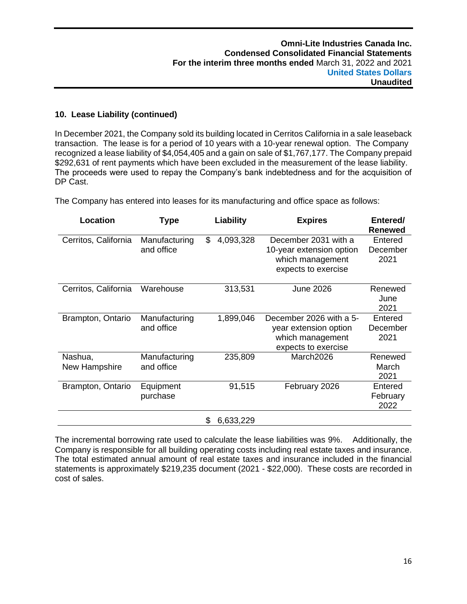# **10. Lease Liability (continued)**

In December 2021, the Company sold its building located in Cerritos California in a sale leaseback transaction. The lease is for a period of 10 years with a 10-year renewal option. The Company recognized a lease liability of \$4,054,405 and a gain on sale of \$1,767,177. The Company prepaid \$292,631 of rent payments which have been excluded in the measurement of the lease liability. The proceeds were used to repay the Company's bank indebtedness and for the acquisition of DP Cast.

| Location                 | Type                        | Liability       | <b>Expires</b>                                                                              | Entered/<br><b>Renewed</b>  |
|--------------------------|-----------------------------|-----------------|---------------------------------------------------------------------------------------------|-----------------------------|
| Cerritos, California     | Manufacturing<br>and office | \$<br>4,093,328 | December 2031 with a<br>10-year extension option<br>which management<br>expects to exercise | Entered<br>December<br>2021 |
| Cerritos, California     | Warehouse                   | 313,531         | <b>June 2026</b>                                                                            | Renewed<br>June<br>2021     |
| Brampton, Ontario        | Manufacturing<br>and office | 1,899,046       | December 2026 with a 5-<br>year extension option<br>which management<br>expects to exercise | Entered<br>December<br>2021 |
| Nashua,<br>New Hampshire | Manufacturing<br>and office | 235,809         | March2026                                                                                   | Renewed<br>March<br>2021    |
| Brampton, Ontario        | Equipment<br>purchase       | 91,515          | February 2026                                                                               | Entered<br>February<br>2022 |
|                          |                             | 6,633,229<br>\$ |                                                                                             |                             |

The Company has entered into leases for its manufacturing and office space as follows:

The incremental borrowing rate used to calculate the lease liabilities was 9%. Additionally, the Company is responsible for all building operating costs including real estate taxes and insurance. The total estimated annual amount of real estate taxes and insurance included in the financial statements is approximately \$219,235 document (2021 - \$22,000). These costs are recorded in cost of sales.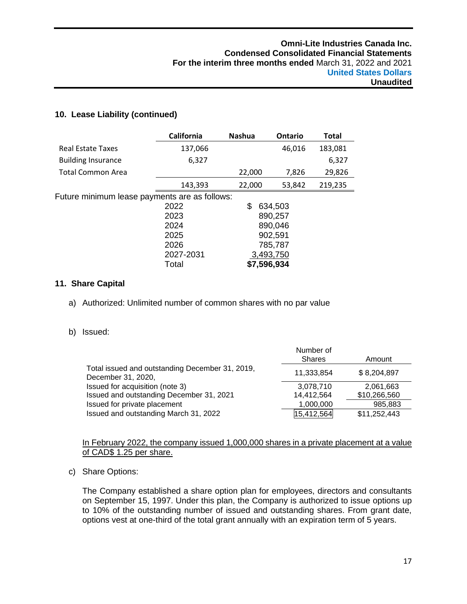# **10. Lease Liability (continued)**

|                                               | California | <b>Nashua</b> | Ontario   | <b>Total</b> |
|-----------------------------------------------|------------|---------------|-----------|--------------|
| <b>Real Estate Taxes</b>                      | 137,066    |               | 46,016    | 183,081      |
| <b>Building Insurance</b>                     | 6,327      |               |           | 6,327        |
| <b>Total Common Area</b>                      |            | 22,000        | 7,826     | 29,826       |
|                                               | 143,393    | 22,000        | 53,842    | 219,235      |
| Future minimum lease payments are as follows: |            |               |           |              |
|                                               | 2022       | \$            | 634,503   |              |
|                                               | 2023       |               | 890,257   |              |
|                                               | 2024       |               | 890,046   |              |
|                                               | 2025       |               | 902,591   |              |
|                                               | 2026       |               | 785,787   |              |
|                                               | 2027-2031  |               | 3,493,750 |              |
|                                               | Total      | \$7,596,934   |           |              |

# **11. Share Capital**

a) Authorized: Unlimited number of common shares with no par value

# b) Issued:

|                                                                       | Number of<br>Shares | Amount       |
|-----------------------------------------------------------------------|---------------------|--------------|
| Total issued and outstanding December 31, 2019,<br>December 31, 2020, | 11,333,854          | \$8,204,897  |
| Issued for acquisition (note 3)                                       | 3,078,710           | 2,061,663    |
| Issued and outstanding December 31, 2021                              | 14,412,564          | \$10,266,560 |
| Issued for private placement                                          | 1,000,000           | 985,883      |
| Issued and outstanding March 31, 2022                                 | 15,412,564          | \$11,252,443 |

# In February 2022, the company issued 1,000,000 shares in a private placement at a value of CAD\$ 1.25 per share.

c) Share Options:

The Company established a share option plan for employees, directors and consultants on September 15, 1997. Under this plan, the Company is authorized to issue options up to 10% of the outstanding number of issued and outstanding shares. From grant date, options vest at one-third of the total grant annually with an expiration term of 5 years.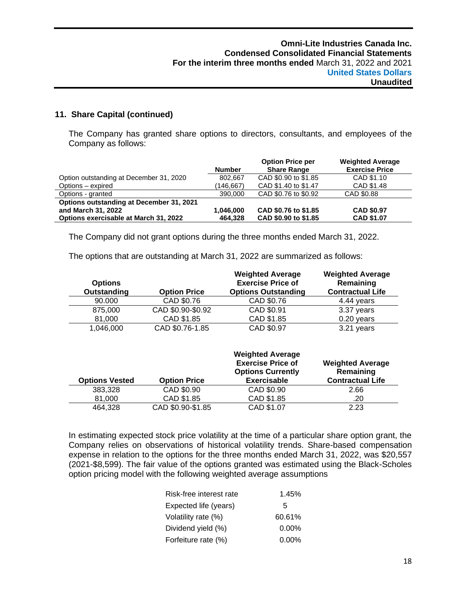# **11. Share Capital (continued)**

The Company has granted share options to directors, consultants, and employees of the Company as follows:

|                                          |               | <b>Option Price per</b> | <b>Weighted Average</b> |
|------------------------------------------|---------------|-------------------------|-------------------------|
|                                          | <b>Number</b> | <b>Share Range</b>      | <b>Exercise Price</b>   |
| Option outstanding at December 31, 2020  | 802.667       | CAD \$0.90 to \$1.85    | CAD \$1.10              |
| Options - expired                        | (146,667)     | CAD \$1.40 to \$1.47    | CAD \$1.48              |
| Options - granted                        | 390,000       | CAD \$0.76 to \$0.92    | CAD \$0.88              |
| Options outstanding at December 31, 2021 |               |                         |                         |
| and March 31, 2022                       | 1,046,000     | CAD \$0.76 to \$1.85    | <b>CAD \$0.97</b>       |
| Options exercisable at March 31, 2022    | 464,328       | CAD \$0.90 to \$1.85    | <b>CAD \$1.07</b>       |

The Company did not grant options during the three months ended March 31, 2022.

The options that are outstanding at March 31, 2022 are summarized as follows:

| <b>Options</b><br>Outstanding | <b>Option Price</b> | <b>Weighted Average</b><br><b>Exercise Price of</b><br><b>Options Outstanding</b> | <b>Weighted Average</b><br>Remaining<br><b>Contractual Life</b> |
|-------------------------------|---------------------|-----------------------------------------------------------------------------------|-----------------------------------------------------------------|
| 90.000                        | CAD \$0.76          | CAD \$0.76                                                                        | 4.44 years                                                      |
| 875,000                       | CAD \$0.90-\$0.92   | CAD \$0.91                                                                        | 3.37 years                                                      |
| 81,000                        | CAD \$1.85          | CAD \$1.85                                                                        | $0.20$ years                                                    |
| 1,046,000                     | CAD \$0.76-1.85     | CAD \$0.97                                                                        | 3.21 years                                                      |

|                       |                     | <b>Weighted Average</b>                              |                                      |
|-----------------------|---------------------|------------------------------------------------------|--------------------------------------|
|                       |                     | <b>Exercise Price of</b><br><b>Options Currently</b> | <b>Weighted Average</b><br>Remaining |
| <b>Options Vested</b> | <b>Option Price</b> | <b>Exercisable</b>                                   | <b>Contractual Life</b>              |
| 383,328               | CAD \$0.90          | CAD \$0.90                                           | 2.66                                 |
| 81.000                | CAD \$1.85          | CAD \$1.85                                           | .20                                  |
| 464,328               | CAD \$0.90-\$1.85   | CAD \$1.07                                           | 2.23                                 |

In estimating expected stock price volatility at the time of a particular share option grant, the Company relies on observations of historical volatility trends. Share-based compensation expense in relation to the options for the three months ended March 31, 2022, was \$20,557 (2021-\$8,599). The fair value of the options granted was estimated using the Black-Scholes option pricing model with the following weighted average assumptions

| Risk-free interest rate | 1.45%    |
|-------------------------|----------|
| Expected life (years)   | 5        |
| Volatility rate (%)     | 60.61%   |
| Dividend yield (%)      | $0.00\%$ |
| Forfeiture rate (%)     | $0.00\%$ |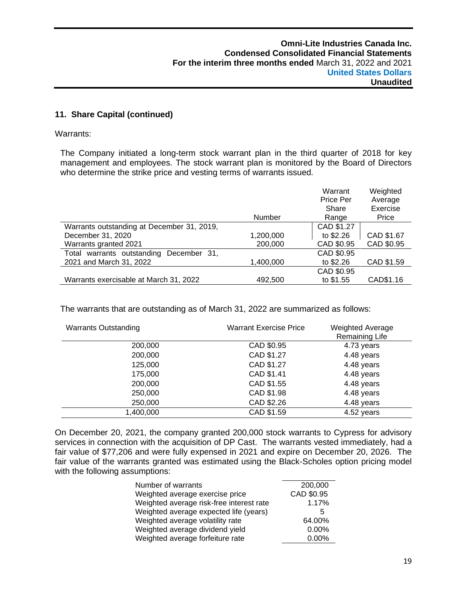# **11. Share Capital (continued)**

Warrants:

The Company initiated a long-term stock warrant plan in the third quarter of 2018 for key management and employees. The stock warrant plan is monitored by the Board of Directors who determine the strike price and vesting terms of warrants issued.

|                                            |           | Warrant<br>Price Per | Weighted<br>Average |
|--------------------------------------------|-----------|----------------------|---------------------|
|                                            |           | Share                | Exercise            |
|                                            | Number    | Range                | Price               |
| Warrants outstanding at December 31, 2019, |           | CAD \$1.27           |                     |
| December 31, 2020                          | 1,200,000 | to \$2.26            | CAD \$1.67          |
| Warrants granted 2021                      | 200,000   | CAD \$0.95           | CAD \$0.95          |
| Total warrants outstanding<br>December 31, |           | CAD \$0.95           |                     |
| 2021 and March 31, 2022                    | 1,400,000 | to \$2.26            | CAD \$1.59          |
|                                            |           | CAD \$0.95           |                     |
| Warrants exercisable at March 31, 2022     | 492,500   | to \$1.55            | CAD\$1.16           |

The warrants that are outstanding as of March 31, 2022 are summarized as follows:

| <b>Warrants Outstanding</b> | <b>Warrant Exercise Price</b> | <b>Weighted Average</b><br>Remaining Life |
|-----------------------------|-------------------------------|-------------------------------------------|
| 200,000                     | CAD \$0.95                    | 4.73 years                                |
| 200,000                     | CAD \$1.27                    | 4.48 years                                |
| 125,000                     | CAD \$1.27                    | 4.48 years                                |
| 175,000                     | CAD \$1.41                    | 4.48 years                                |
| 200,000                     | CAD \$1.55                    | 4.48 years                                |
| 250,000                     | CAD \$1.98                    | 4.48 years                                |
| 250,000                     | CAD \$2.26                    | 4.48 years                                |
| 1,400,000                   | CAD \$1.59                    | 4.52 years                                |

On December 20, 2021, the company granted 200,000 stock warrants to Cypress for advisory services in connection with the acquisition of DP Cast. The warrants vested immediately, had a fair value of \$77,206 and were fully expensed in 2021 and expire on December 20, 2026. The fair value of the warrants granted was estimated using the Black-Scholes option pricing model with the following assumptions:

| Number of warrants                       | 200,000    |
|------------------------------------------|------------|
| Weighted average exercise price          | CAD \$0.95 |
| Weighted average risk-free interest rate | 1.17%      |
| Weighted average expected life (years)   | 5          |
| Weighted average volatility rate         | 64.00%     |
| Weighted average dividend yield          | 0.00%      |
| Weighted average forfeiture rate         | $0.00\%$   |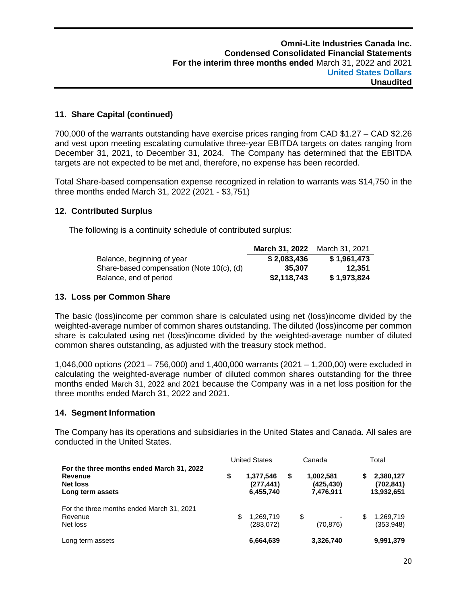# **11. Share Capital (continued)**

700,000 of the warrants outstanding have exercise prices ranging from CAD \$1.27 – CAD \$2.26 and vest upon meeting escalating cumulative three-year EBITDA targets on dates ranging from December 31, 2021, to December 31, 2024. The Company has determined that the EBITDA targets are not expected to be met and, therefore, no expense has been recorded.

Total Share-based compensation expense recognized in relation to warrants was \$14,750 in the three months ended March 31, 2022 (2021 - \$3,751)

# **12. Contributed Surplus**

The following is a continuity schedule of contributed surplus:

|                                           | March 31, 2022 | March 31, 2021 |
|-------------------------------------------|----------------|----------------|
| Balance, beginning of year                | \$2,083,436    | \$1,961,473    |
| Share-based compensation (Note 10(c), (d) | 35.307         | 12.351         |
| Balance, end of period                    | \$2,118,743    | \$1.973.824    |

# **13. Loss per Common Share**

The basic (loss)income per common share is calculated using net (loss)income divided by the weighted-average number of common shares outstanding. The diluted (loss)income per common share is calculated using net (loss)income divided by the weighted-average number of diluted common shares outstanding, as adjusted with the treasury stock method.

1,046,000 options (2021 – 756,000) and 1,400,000 warrants (2021 – 1,200,00) were excluded in calculating the weighted-average number of diluted common shares outstanding for the three months ended March 31, 2022 and 2021 because the Company was in a net loss position for the three months ended March 31, 2022 and 2021.

# **14. Segment Information**

The Company has its operations and subsidiaries in the United States and Canada. All sales are conducted in the United States.

|                                                                                      | <b>United States</b>                      | Canada                                     | Total |                                       |  |
|--------------------------------------------------------------------------------------|-------------------------------------------|--------------------------------------------|-------|---------------------------------------|--|
| For the three months ended March 31, 2022<br>Revenue<br>Net loss<br>Long term assets | \$<br>1,377,546<br>(277,441)<br>6,455,740 | \$<br>1,002,581<br>(425, 430)<br>7,476,911 | S     | 2,380,127<br>(702, 841)<br>13,932,651 |  |
| For the three months ended March 31, 2021<br>Revenue<br>Net loss                     | \$<br>1,269,719<br>(283, 072)             | \$<br>(70, 876)                            | \$    | 1,269,719<br>(353,948)                |  |
| Long term assets                                                                     | 6,664,639                                 | 3,326,740                                  |       | 9,991,379                             |  |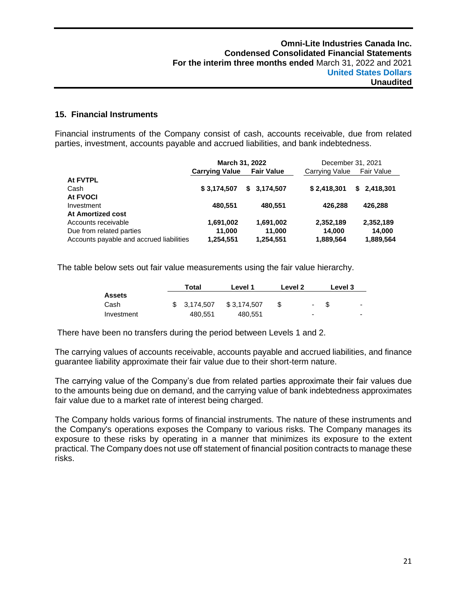# **15. Financial Instruments**

Financial instruments of the Company consist of cash, accounts receivable, due from related parties, investment, accounts payable and accrued liabilities, and bank indebtedness.

|                                          |                       | March 31, 2022    | December 31, 2021 |                 |  |  |
|------------------------------------------|-----------------------|-------------------|-------------------|-----------------|--|--|
|                                          | <b>Carrying Value</b> | <b>Fair Value</b> | Carrying Value    | Fair Value      |  |  |
| At FVTPL                                 |                       |                   |                   |                 |  |  |
| Cash                                     | \$3,174,507           | \$3.174.507       | \$2,418,301       | 2,418,301<br>S. |  |  |
| At FVOCI                                 |                       |                   |                   |                 |  |  |
| Investment                               | 480.551               | 480.551           | 426.288           | 426.288         |  |  |
| At Amortized cost                        |                       |                   |                   |                 |  |  |
| Accounts receivable                      | 1,691,002             | 1,691,002         | 2,352,189         | 2,352,189       |  |  |
| Due from related parties                 | 11.000                | 11,000            | 14,000            | 14,000          |  |  |
| Accounts payable and accrued liabilities | 1,254,551             | 1,254,551         | 1,889,564         | 1,889,564       |  |  |

The table below sets out fair value measurements using the fair value hierarchy.

|               | Total |              | Level 1     | Level 2 | Level 3                  |      |                          |
|---------------|-------|--------------|-------------|---------|--------------------------|------|--------------------------|
| <b>Assets</b> |       |              |             |         |                          |      |                          |
| Cash          |       | \$ 3.174.507 | \$3.174.507 |         | $\sim$                   | - \$ | $\blacksquare$           |
| Investment    |       | 480,551      | 480,551     |         | $\overline{\phantom{a}}$ |      | $\overline{\phantom{0}}$ |

There have been no transfers during the period between Levels 1 and 2.

The carrying values of accounts receivable, accounts payable and accrued liabilities, and finance guarantee liability approximate their fair value due to their short-term nature.

The carrying value of the Company's due from related parties approximate their fair values due to the amounts being due on demand, and the carrying value of bank indebtedness approximates fair value due to a market rate of interest being charged.

The Company holds various forms of financial instruments. The nature of these instruments and the Company's operations exposes the Company to various risks. The Company manages its exposure to these risks by operating in a manner that minimizes its exposure to the extent practical. The Company does not use off statement of financial position contracts to manage these risks.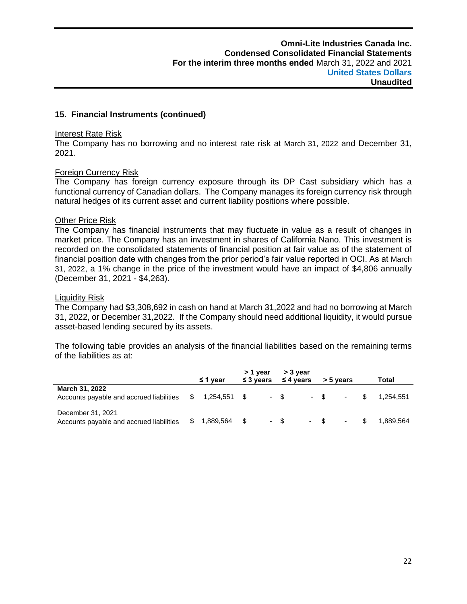#### **15. Financial Instruments (continued)**

#### Interest Rate Risk

The Company has no borrowing and no interest rate risk at March 31, 2022 and December 31, 2021.

#### Foreign Currency Risk

The Company has foreign currency exposure through its DP Cast subsidiary which has a functional currency of Canadian dollars. The Company manages its foreign currency risk through natural hedges of its current asset and current liability positions where possible.

# **Other Price Risk**

The Company has financial instruments that may fluctuate in value as a result of changes in market price. The Company has an investment in shares of California Nano. This investment is recorded on the consolidated statements of financial position at fair value as of the statement of financial position date with changes from the prior period's fair value reported in OCI. As at March 31, 2022, a 1% change in the price of the investment would have an impact of \$4,806 annually (December 31, 2021 - \$4,263).

#### Liquidity Risk

The Company had \$3,308,692 in cash on hand at March 31,2022 and had no borrowing at March 31, 2022, or December 31,2022. If the Company should need additional liquidity, it would pursue asset-based lending secured by its assets.

The following table provides an analysis of the financial liabilities based on the remaining terms of the liabilities as at:

|                                                                            |           | ≤ 1 year  | > 1 year<br>$\leq$ 3 years | > 3 year<br>$\leq$ 4 years | > 5 years |                          |  | Total     |  |
|----------------------------------------------------------------------------|-----------|-----------|----------------------------|----------------------------|-----------|--------------------------|--|-----------|--|
| March 31, 2022<br>Accounts payable and accrued liabilities \$ 1,254,551 \$ |           |           |                            | $-$ \$                     | $-$ \$    | $\blacksquare$           |  | 1.254.551 |  |
| December 31, 2021<br>Accounts payable and accrued liabilities              | $\sim$ \$ | 1,889,564 | - \$                       | - \$                       | $-$ \$    | <b>Contract Contract</b> |  | 1.889.564 |  |